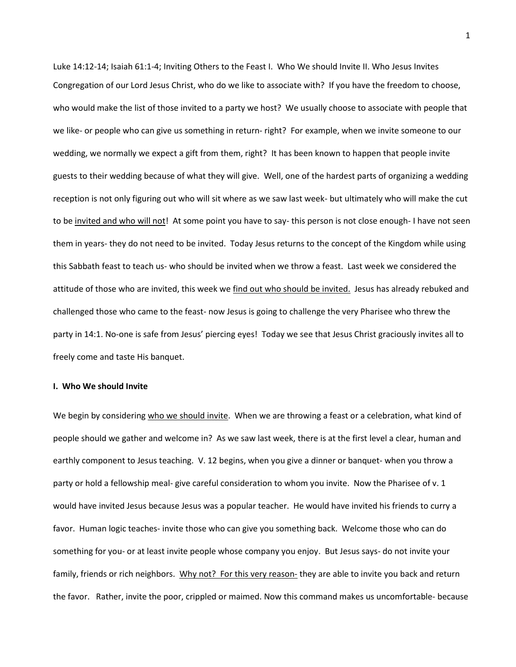Luke 14:12-14; Isaiah 61:1-4; Inviting Others to the Feast I. Who We should Invite II. Who Jesus Invites Congregation of our Lord Jesus Christ, who do we like to associate with? If you have the freedom to choose, who would make the list of those invited to a party we host? We usually choose to associate with people that we like- or people who can give us something in return- right? For example, when we invite someone to our wedding, we normally we expect a gift from them, right? It has been known to happen that people invite guests to their wedding because of what they will give. Well, one of the hardest parts of organizing a wedding reception is not only figuring out who will sit where as we saw last week- but ultimately who will make the cut to be invited and who will not! At some point you have to say- this person is not close enough- I have not seen them in years- they do not need to be invited. Today Jesus returns to the concept of the Kingdom while using this Sabbath feast to teach us- who should be invited when we throw a feast. Last week we considered the attitude of those who are invited, this week we find out who should be invited. Jesus has already rebuked and challenged those who came to the feast- now Jesus is going to challenge the very Pharisee who threw the party in 14:1. No-one is safe from Jesus' piercing eyes! Today we see that Jesus Christ graciously invites all to freely come and taste His banquet.

## **I. Who We should Invite**

We begin by considering who we should invite. When we are throwing a feast or a celebration, what kind of people should we gather and welcome in? As we saw last week, there is at the first level a clear, human and earthly component to Jesus teaching. V. 12 begins, when you give a dinner or banquet- when you throw a party or hold a fellowship meal- give careful consideration to whom you invite. Now the Pharisee of v. 1 would have invited Jesus because Jesus was a popular teacher. He would have invited his friends to curry a favor. Human logic teaches- invite those who can give you something back. Welcome those who can do something for you- or at least invite people whose company you enjoy. But Jesus says- do not invite your family, friends or rich neighbors. Why not? For this very reason- they are able to invite you back and return the favor. Rather, invite the poor, crippled or maimed. Now this command makes us uncomfortable- because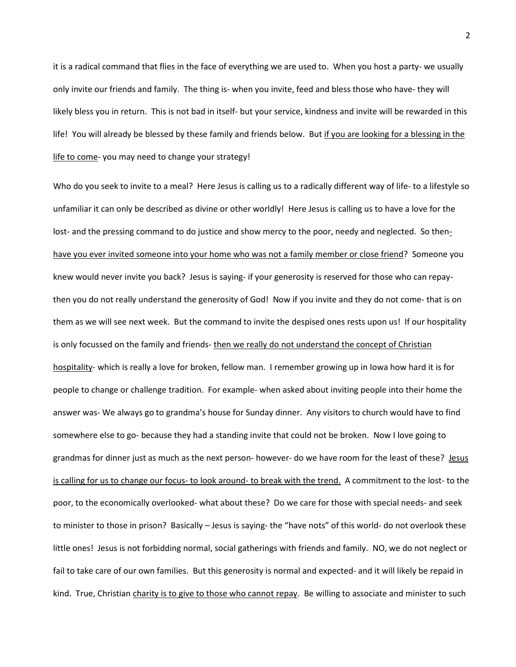it is a radical command that flies in the face of everything we are used to. When you host a party- we usually only invite our friends and family. The thing is- when you invite, feed and bless those who have- they will likely bless you in return. This is not bad in itself- but your service, kindness and invite will be rewarded in this life! You will already be blessed by these family and friends below. But if you are looking for a blessing in the life to come- you may need to change your strategy!

Who do you seek to invite to a meal? Here Jesus is calling us to a radically different way of life- to a lifestyle so unfamiliar it can only be described as divine or other worldly! Here Jesus is calling us to have a love for the lost- and the pressing command to do justice and show mercy to the poor, needy and neglected. So thenhave you ever invited someone into your home who was not a family member or close friend? Someone you knew would never invite you back? Jesus is saying- if your generosity is reserved for those who can repaythen you do not really understand the generosity of God! Now if you invite and they do not come- that is on them as we will see next week. But the command to invite the despised ones rests upon us! If our hospitality is only focussed on the family and friends- then we really do not understand the concept of Christian hospitality- which is really a love for broken, fellow man. I remember growing up in Iowa how hard it is for people to change or challenge tradition. For example- when asked about inviting people into their home the answer was- We always go to grandma's house for Sunday dinner. Any visitors to church would have to find somewhere else to go- because they had a standing invite that could not be broken. Now I love going to grandmas for dinner just as much as the next person- however- do we have room for the least of these? Jesus is calling for us to change our focus- to look around- to break with the trend. A commitment to the lost- to the poor, to the economically overlooked- what about these? Do we care for those with special needs- and seek to minister to those in prison? Basically – Jesus is saying- the "have nots" of this world- do not overlook these little ones! Jesus is not forbidding normal, social gatherings with friends and family. NO, we do not neglect or fail to take care of our own families. But this generosity is normal and expected- and it will likely be repaid in kind. True, Christian charity is to give to those who cannot repay. Be willing to associate and minister to such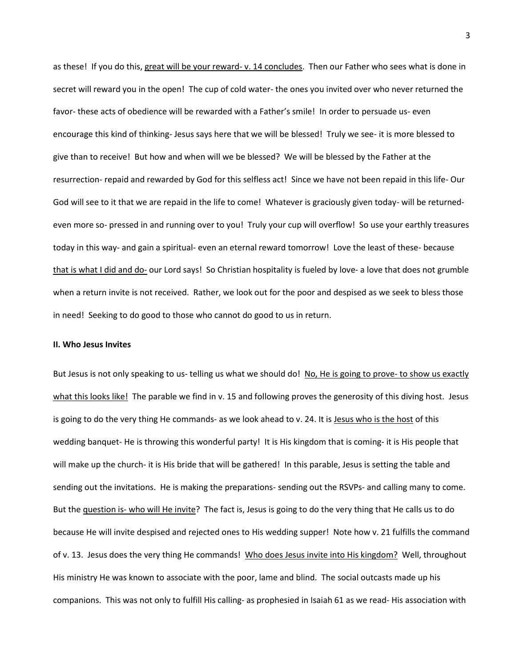as these! If you do this, great will be your reward- v. 14 concludes. Then our Father who sees what is done in secret will reward you in the open! The cup of cold water- the ones you invited over who never returned the favor- these acts of obedience will be rewarded with a Father's smile! In order to persuade us- even encourage this kind of thinking- Jesus says here that we will be blessed! Truly we see- it is more blessed to give than to receive! But how and when will we be blessed? We will be blessed by the Father at the resurrection- repaid and rewarded by God for this selfless act! Since we have not been repaid in this life- Our God will see to it that we are repaid in the life to come! Whatever is graciously given today- will be returnedeven more so- pressed in and running over to you! Truly your cup will overflow! So use your earthly treasures today in this way- and gain a spiritual- even an eternal reward tomorrow! Love the least of these- because that is what I did and do- our Lord says! So Christian hospitality is fueled by love- a love that does not grumble when a return invite is not received. Rather, we look out for the poor and despised as we seek to bless those in need! Seeking to do good to those who cannot do good to us in return.

## **II. Who Jesus Invites**

But Jesus is not only speaking to us- telling us what we should do! No, He is going to prove- to show us exactly what this looks like! The parable we find in v. 15 and following proves the generosity of this diving host. Jesus is going to do the very thing He commands- as we look ahead to v. 24. It is Jesus who is the host of this wedding banquet- He is throwing this wonderful party! It is His kingdom that is coming- it is His people that will make up the church- it is His bride that will be gathered! In this parable, Jesus is setting the table and sending out the invitations. He is making the preparations- sending out the RSVPs- and calling many to come. But the question is- who will He invite? The fact is, Jesus is going to do the very thing that He calls us to do because He will invite despised and rejected ones to His wedding supper! Note how v. 21 fulfills the command of v. 13. Jesus does the very thing He commands! Who does Jesus invite into His kingdom? Well, throughout His ministry He was known to associate with the poor, lame and blind. The social outcasts made up his companions. This was not only to fulfill His calling- as prophesied in Isaiah 61 as we read- His association with

3